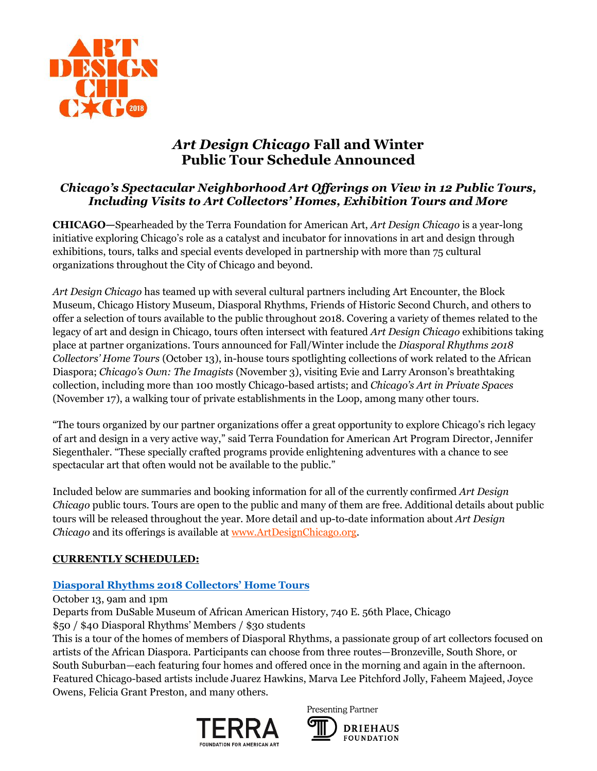

# *Art Design Chicago* **Fall and Winter Public Tour Schedule Announced**

### *Chicago's Spectacular Neighborhood Art Offerings on View in 12 Public Tours, Including Visits to Art Collectors' Homes, Exhibition Tours and More*

**CHICAGO—**Spearheaded by the Terra Foundation for American Art, *Art Design Chicago* is a year-long initiative exploring Chicago's role as a catalyst and incubator for innovations in art and design through exhibitions, tours, talks and special events developed in partnership with more than 75 cultural organizations throughout the City of Chicago and beyond.

*Art Design Chicago* has teamed up with several cultural partners including Art Encounter, the Block Museum, Chicago History Museum, Diasporal Rhythms, Friends of Historic Second Church, and others to offer a selection of tours available to the public throughout 2018. Covering a variety of themes related to the legacy of art and design in Chicago, tours often intersect with featured *Art Design Chicago* exhibitions taking place at partner organizations. Tours announced for Fall/Winter include the *Diasporal Rhythms 2018 Collectors' Home Tours* (October 13), in-house tours spotlighting collections of work related to the African Diaspora; *Chicago's Own: The Imagists* (November 3), visiting Evie and Larry Aronson's breathtaking collection, including more than 100 mostly Chicago-based artists; and *Chicago's Art in Private Spaces* (November 17), a walking tour of private establishments in the Loop, among many other tours.

"The tours organized by our partner organizations offer a great opportunity to explore Chicago's rich legacy of art and design in a very active way," said Terra Foundation for American Art Program Director, Jennifer Siegenthaler. "These specially crafted programs provide enlightening adventures with a chance to see spectacular art that often would not be available to the public."

Included below are summaries and booking information for all of the currently confirmed *Art Design Chicago* public tours. Tours are open to the public and many of them are free. Additional details about public tours will be released throughout the year. More detail and up-to-date information about *Art Design Chicago* and its offerings is available a[t www.ArtDesignChicago.org.](http://www.artdesignchicago.org/)

### **CURRENTLY SCHEDULED:**

# **[Diasporal Rhythms 2018 Collectors' Home Tour](https://www.artdesignchicago.org/events/diasporal-rhythms-2018-collectors-home-tours)s**

October 13, 9am and 1pm

Departs from DuSable Museum of African American History, 740 E. 56th Place, Chicago

\$50 / \$40 Diasporal Rhythms' Members / \$30 students

This is a tour of the homes of members of Diasporal Rhythms, a passionate group of art collectors focused on artists of the African Diaspora. Participants can choose from three routes—Bronzeville, South Shore, or South Suburban—each featuring four homes and offered once in the morning and again in the afternoon. Featured Chicago-based artists include Juarez Hawkins, Marva Lee Pitchford Jolly, Faheem Majeed, Joyce Owens, Felicia Grant Preston, and many others.



Presenting Partner

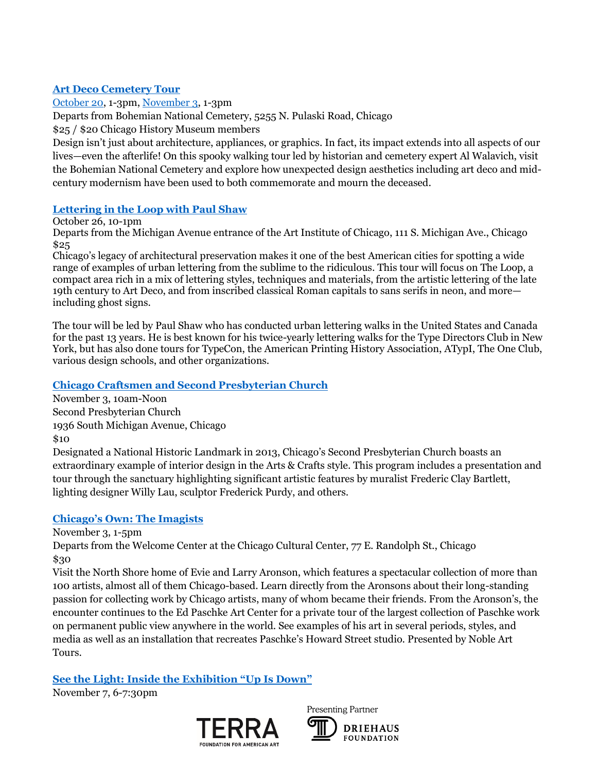#### **[Art Deco Cemetery Tour](https://www.artdesignchicago.org/events/art-deco-cemetery-tour-october-edition)**

[October 20,](https://www.artdesignchicago.org/events/art-deco-cemetery-tour-october-edition) 1-3pm, [November 3,](https://www.artdesignchicago.org/events/art-deco-cemetery-tour-november-edition) 1-3pm

Departs from Bohemian National Cemetery, 5255 N. Pulaski Road, Chicago

\$25 / \$20 Chicago History Museum members

Design isn't just about architecture, appliances, or graphics. In fact, its impact extends into all aspects of our lives—even the afterlife! On this spooky walking tour led by historian and cemetery expert Al Walavich, visit the Bohemian National Cemetery and explore how unexpected design aesthetics including art deco and midcentury modernism have been used to both commemorate and mourn the deceased.

#### **[Lettering in the Loop with Paul Shaw](https://www.artdesignchicago.org/events/lettering-in-the-loop-with-paul-shaw)**

October 26, 10-1pm

Departs from the Michigan Avenue entrance of the Art Institute of Chicago, 111 S. Michigan Ave., Chicago \$25

Chicago's legacy of architectural preservation makes it one of the best American cities for spotting a wide range of examples of urban lettering from the sublime to the ridiculous. This tour will focus on The Loop, a compact area rich in a mix of lettering styles, techniques and materials, from the artistic lettering of the late 19th century to Art Deco, and from inscribed classical Roman capitals to sans serifs in neon, and more including ghost signs.

The tour will be led by Paul Shaw who has conducted urban lettering walks in the United States and Canada for the past 13 years. He is best known for his twice-yearly lettering walks for the Type Directors Club in New York, but has also done tours for TypeCon, the American Printing History Association, ATypI, The One Club, various design schools, and other organizations.

#### **[Chicago Craftsmen and Second Presbyterian Church](https://www.artdesignchicago.org/events/chicago-craftsmen-and-second-presbyterian-church)**

November 3, 10am-Noon Second Presbyterian Church 1936 South Michigan Avenue, Chicago \$10

Designated a National Historic Landmark in 2013, Chicago's Second Presbyterian Church boasts an extraordinary example of interior design in the Arts & Crafts style. This program includes a presentation and tour through the sanctuary highlighting significant artistic features by muralist Frederic Clay Bartlett, lighting designer Willy Lau, sculptor Frederick Purdy, and others.

### **[Chicago's Own: The Imagists](https://www.artdesignchicago.org/events/chicago-s-own-the-imagists)**

November 3, 1-5pm

Departs from the Welcome Center at the Chicago Cultural Center, 77 E. Randolph St., Chicago \$30

Visit the North Shore home of Evie and Larry Aronson, which features a spectacular collection of more than 100 artists, almost all of them Chicago-based. Learn directly from the Aronsons about their long-standing passion for collecting work by Chicago artists, many of whom became their friends. From the Aronson's, the encounter continues to the Ed Paschke Art Center for a private tour of the largest collection of Paschke work on permanent public view anywhere in the world. See examples of his art in several periods, styles, and media as well as an installation that recreates Paschke's Howard Street studio. Presented by Noble Art Tours.

**[See the Light: Inside the Exhibition "Up Is Down"](https://www.artdesignchicago.org/events/see-the-light-inside-the-exhibition-up-is-down)**

November 7, 6-7:30pm



Presenting Partner

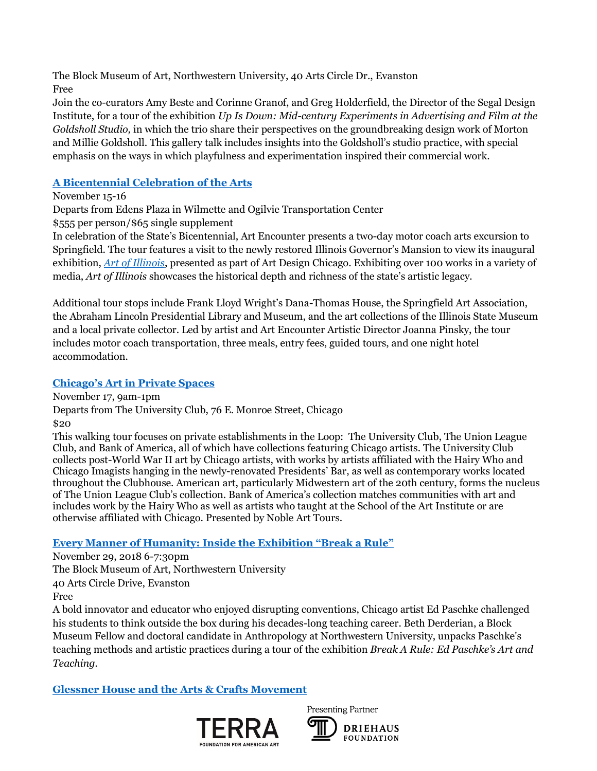The Block Museum of Art, Northwestern University, 40 Arts Circle Dr., Evanston Free

Join the co-curators Amy Beste and Corinne Granof, and Greg Holderfield, the Director of the Segal Design Institute, for a tour of the exhibition *Up Is Down: Mid-century [Experiments](https://www.artdesignchicago.org/events/up-is-down-mid-century-experiments-in-advertising-and-film-at-the-goldsholl-studio) in Advertising and Film at the [Goldsholl](https://www.artdesignchicago.org/events/up-is-down-mid-century-experiments-in-advertising-and-film-at-the-goldsholl-studio) Studio,* in which the trio share their perspectives on the groundbreaking design work of Morton and Millie Goldsholl. This gallery talk includes insights into the Goldsholl's studio practice, with special emphasis on the ways in which playfulness and experimentation inspired their commercial work.

# **[A Bicentennial Celebration of the Arts](http://www.artencounter.org/product/2101/)**

November 15-16

Departs from Edens Plaza in Wilmette and Ogilvie Transportation Center

\$555 per person/\$65 single supplement

In celebration of the State's Bicentennial, Art Encounter presents a two-day motor coach arts excursion to Springfield. The tour features a visit to the newly restored Illinois Governor's Mansion to view its inaugural exhibition, *[Art of Illinois](https://www.artdesignchicago.org/events/art-of-illinois)*, presented as part of Art Design Chicago. Exhibiting over 100 works in a variety of media, *Art of Illinois* showcases the historical depth and richness of the state's artistic legacy.

Additional tour stops include Frank Lloyd Wright's Dana-Thomas House, the Springfield Art Association, the Abraham Lincoln Presidential Library and Museum, and the art collections of the Illinois State Museum and a local private collector. Led by artist and Art Encounter Artistic Director Joanna Pinsky, the tour includes motor coach transportation, three meals, entry fees, guided tours, and one night hotel accommodation.

# **[Chicago's Art in Private Spaces](https://www.artdesignchicago.org/events/chicago-s-art-in-private-spaces)**

November 17, 9am-1pm

Departs from The University Club, 76 E. Monroe Street, Chicago

\$20

This walking tour focuses on private establishments in the Loop: The University Club, The Union League Club, and Bank of America, all of which have collections featuring Chicago artists. The University Club collects post-World War II art by Chicago artists, with works by artists affiliated with the Hairy Who and Chicago Imagists hanging in the newly-renovated Presidents' Bar, as well as contemporary works located throughout the Clubhouse. American art, particularly Midwestern art of the 20th century, forms the nucleus of The Union League Club's collection. Bank of America's collection matches communities with art and includes work by the Hairy Who as well as artists who taught at the School of the Art Institute or are otherwise affiliated with Chicago. Presented by Noble Art Tours.

# **[Every Manner of Humanity: Inside the Exhibition "Break a Rule"](https://www.artdesignchicago.org/events/every-manner-of-humanity-inside-the-exhibition-break-a-rule)**

November 29, 2018 6-7:30pm The Block Museum of Art, Northwestern University 40 Arts Circle Drive, Evanston Free

A bold innovator and educator who enjoyed disrupting conventions, Chicago artist Ed Paschke challenged his students to think outside the box during his decades-long teaching career. Beth Derderian, a Block Museum Fellow and doctoral candidate in Anthropology at Northwestern University, unpacks Paschke's teaching methods and artistic practices during a tour of the exhibition *Break A Rule: Ed [Paschke's](https://www.blockmuseum.northwestern.edu/view/exhibitions/upcoming-exhibitions/break-a-rule-ed-paschkes-art-and-teaching.html) Art and [Teaching.](https://www.blockmuseum.northwestern.edu/view/exhibitions/upcoming-exhibitions/break-a-rule-ed-paschkes-art-and-teaching.html)*

**Glessner House and the Arts & Crafts [Movement](https://www.artdesignchicago.org/events/glessner-house-and-the-arts-crafts-movement-december-tour)**



Presenting Partner

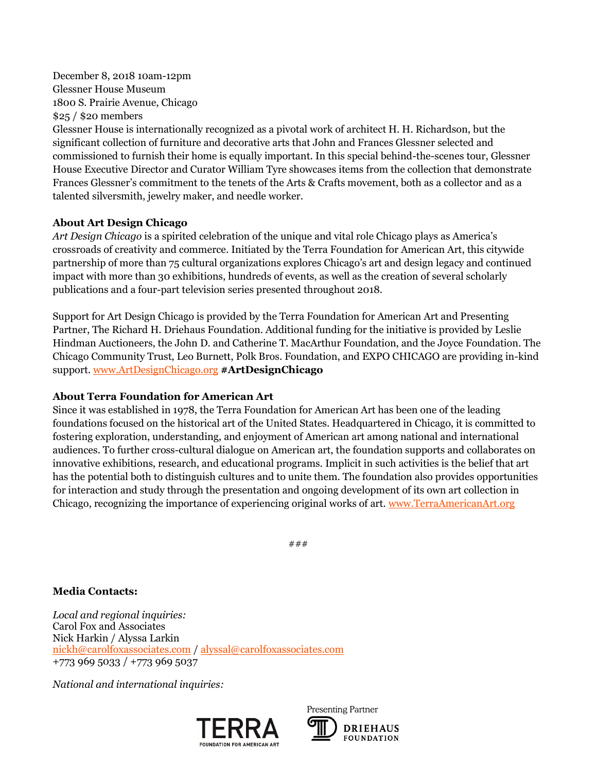December 8, 2018 10am-12pm Glessner House Museum 1800 S. Prairie Avenue, Chicago \$25 / \$20 members

Glessner House is internationally recognized as a pivotal work of architect H. H. Richardson, but the significant collection of furniture and decorative arts that John and Frances Glessner selected and commissioned to furnish their home is equally important. In this special behind-the-scenes tour, Glessner House Executive Director and Curator William Tyre showcases items from the collection that demonstrate Frances Glessner's commitment to the tenets of the Arts & Crafts movement, both as a collector and as a talented silversmith, jewelry maker, and needle worker.

#### **About Art Design Chicago**

*Art Design Chicago* is a spirited celebration of the unique and vital role Chicago plays as America's crossroads of creativity and commerce. Initiated by the Terra Foundation for American Art, this citywide partnership of more than 75 cultural organizations explores Chicago's art and design legacy and continued impact with more than 30 exhibitions, hundreds of events, as well as the creation of several scholarly publications and a four-part television series presented throughout 2018.

Support for Art Design Chicago is provided by the Terra Foundation for American Art and Presenting Partner, The Richard H. Driehaus Foundation. Additional funding for the initiative is provided by Leslie Hindman Auctioneers, the John D. and Catherine T. MacArthur Foundation, and the Joyce Foundation. The Chicago Community Trust, Leo Burnett, Polk Bros. Foundation, and EXPO CHICAGO are providing in-kind support[. www.ArtDesignChicago.org](http://www.artdesignchicago.org/) **#ArtDesignChicago**

#### **About Terra Foundation for American Art**

Since it was established in 1978, the Terra Foundation for American Art has been one of the leading foundations focused on the historical art of the United States. Headquartered in Chicago, it is committed to fostering exploration, understanding, and enjoyment of American art among national and international audiences. To further cross-cultural dialogue on American art, the foundation supports and collaborates on innovative exhibitions, research, and educational programs. Implicit in such activities is the belief that art has the potential both to distinguish cultures and to unite them. The foundation also provides opportunities for interaction and study through the presentation and ongoing development of its own art collection in Chicago, recognizing the importance of experiencing original works of art. [www.TerraAmericanArt.org](file:///C:/Users/jasculca/AppData/Local/Microsoft/Windows/INetCache/Content.Outlook/TLI9I2XX/www.TerraAmericanArt.org)

###

### **Media Contacts:**

*Local and regional inquiries:* Carol Fox and Associates Nick Harkin / Alyssa Larkin [nickh@carolfoxassociates.com](mailto:nickh@carolfoxassociates.com) / [alyssal@carolfoxassociates.com](file:///C:/Users/akrueger/Downloads/alyssal@carolfoxassociates.com) +773 969 5033 / +773 969 5037

*National and international inquiries:*



Presenting Partner **DRIEHAUS FOUNDATION**